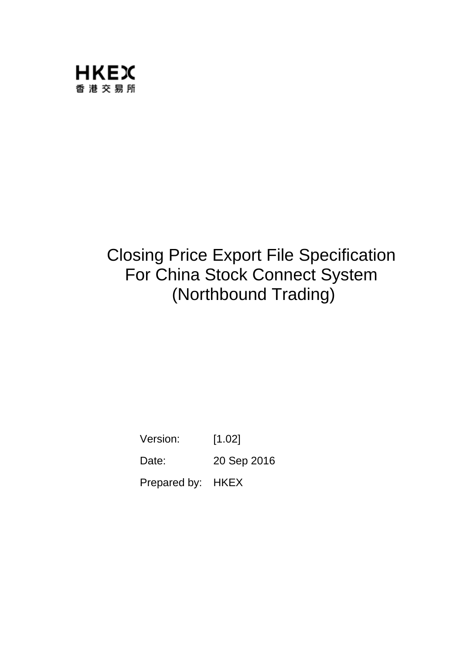

# Closing Price Export File Specification For China Stock Connect System (Northbound Trading)

Version: [1.02] Date: 20 Sep 2016

Prepared by: HKEX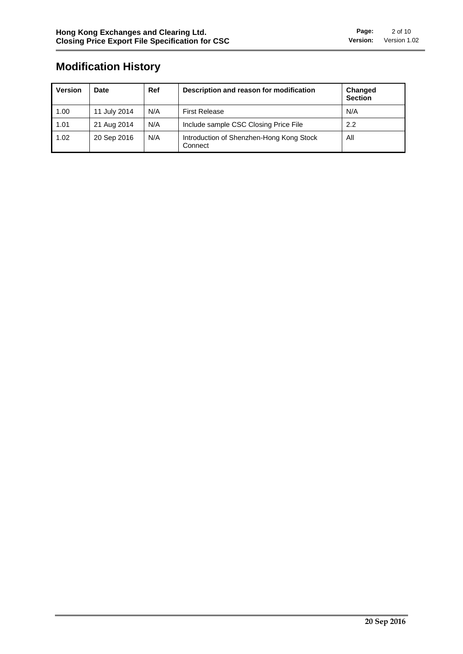## **Modification History**

| <b>Version</b> | Date         | Ref | Description and reason for modification             | Changed<br><b>Section</b> |
|----------------|--------------|-----|-----------------------------------------------------|---------------------------|
| 1.00           | 11 July 2014 | N/A | <b>First Release</b>                                | N/A                       |
| 1.01           | 21 Aug 2014  | N/A | Include sample CSC Closing Price File               | 2.2                       |
| 1.02           | 20 Sep 2016  | N/A | Introduction of Shenzhen-Hong Kong Stock<br>Connect | All                       |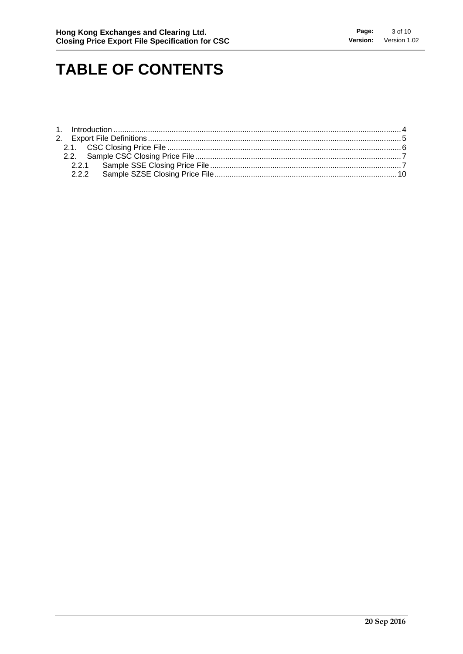# **TABLE OF CONTENTS**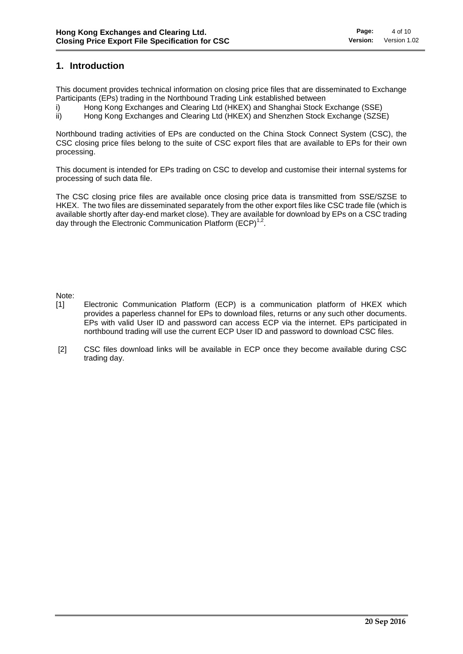#### **1. Introduction**

This document provides technical information on closing price files that are disseminated to Exchange Participants (EPs) trading in the Northbound Trading Link established between

i) Hong Kong Exchanges and Clearing Ltd (HKEX) and Shanghai Stock Exchange (SSE)

ii) Hong Kong Exchanges and Clearing Ltd (HKEX) and Shenzhen Stock Exchange (SZSE)

Northbound trading activities of EPs are conducted on the China Stock Connect System (CSC), the CSC closing price files belong to the suite of CSC export files that are available to EPs for their own processing.

This document is intended for EPs trading on CSC to develop and customise their internal systems for processing of such data file.

The CSC closing price files are available once closing price data is transmitted from SSE/SZSE to HKEX. The two files are disseminated separately from the other export files like CSC trade file (which is available shortly after day-end market close). They are available for download by EPs on a CSC trading day through the Electronic Communication Platform  $(ECP)^{1,2}$ .

Note:

- [1] Electronic Communication Platform (ECP) is a communication platform of HKEX which provides a paperless channel for EPs to download files, returns or any such other documents. EPs with valid User ID and password can access ECP via the internet. EPs participated in northbound trading will use the current ECP User ID and password to download CSC files.
- [2] CSC files download links will be available in ECP once they become available during CSC trading day.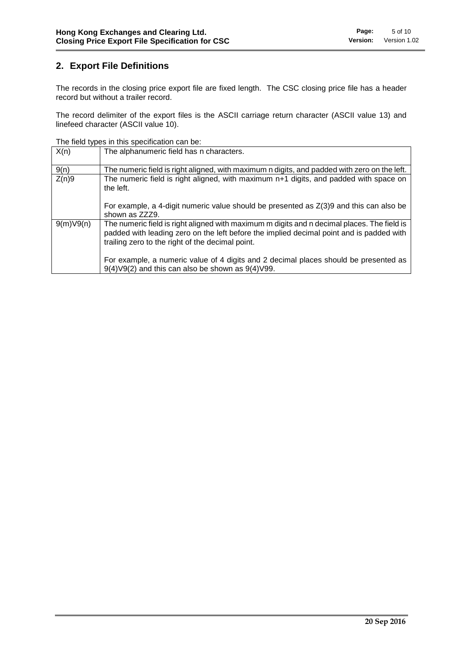### **2. Export File Definitions**

The records in the closing price export file are fixed length. The CSC closing price file has a header record but without a trailer record.

The record delimiter of the export files is the ASCII carriage return character (ASCII value 13) and linefeed character (ASCII value 10).

The field types in this specification can be:

| X(n)      | The alphanumeric field has n characters.                                                                                                                                                                                                    |
|-----------|---------------------------------------------------------------------------------------------------------------------------------------------------------------------------------------------------------------------------------------------|
| 9(n)      | The numeric field is right aligned, with maximum n digits, and padded with zero on the left.                                                                                                                                                |
| Z(n)9     | The numeric field is right aligned, with maximum n+1 digits, and padded with space on<br>the left.                                                                                                                                          |
|           | For example, a 4-digit numeric value should be presented as $Z(3)9$ and this can also be<br>shown as ZZZ9.                                                                                                                                  |
| 9(m)V9(n) | The numeric field is right aligned with maximum m digits and n decimal places. The field is<br>padded with leading zero on the left before the implied decimal point and is padded with<br>trailing zero to the right of the decimal point. |
|           | For example, a numeric value of 4 digits and 2 decimal places should be presented as<br>$9(4) \vee 9(2)$ and this can also be shown as $9(4) \vee 99$ .                                                                                     |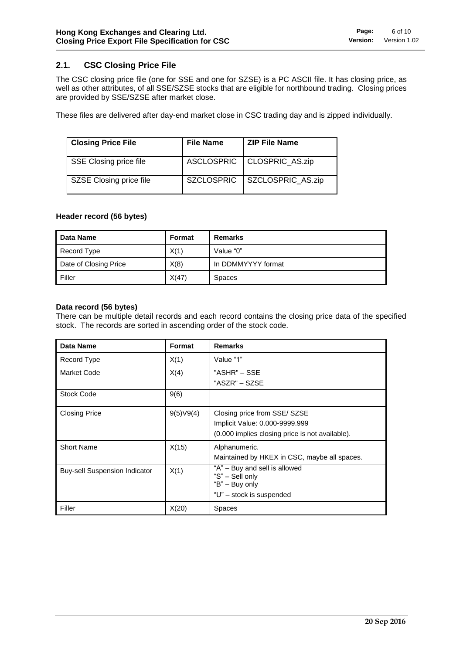#### **2.1. CSC Closing Price File**

The CSC closing price file (one for SSE and one for SZSE) is a PC ASCII file. It has closing price, as well as other attributes, of all SSE/SZSE stocks that are eligible for northbound trading. Closing prices are provided by SSE/SZSE after market close.

These files are delivered after day-end market close in CSC trading day and is zipped individually.

| <b>Closing Price File</b> | <b>File Name</b>  | <b>ZIP File Name</b>         |
|---------------------------|-------------------|------------------------------|
| SSE Closing price file    |                   | ASCLOSPRIC   CLOSPRIC_AS.zip |
| SZSE Closing price file   | <b>SZCLOSPRIC</b> | SZCLOSPRIC AS.zip            |

#### **Header record (56 bytes)**

| Data Name             | Format | Remarks            |
|-----------------------|--------|--------------------|
| Record Type           | X(1)   | Value "0"          |
| Date of Closing Price | X(8)   | In DDMMYYYY format |
| Filler                | X(47)  | <b>Spaces</b>      |

#### **Data record (56 bytes)**

There can be multiple detail records and each record contains the closing price data of the specified stock. The records are sorted in ascending order of the stock code.

| Data Name                            | Format    | <b>Remarks</b>                                                                                                    |
|--------------------------------------|-----------|-------------------------------------------------------------------------------------------------------------------|
| Record Type                          | X(1)      | Value "1"                                                                                                         |
| Market Code                          | X(4)      | "ASHR" – SSE<br>"ASZR" – SZSE                                                                                     |
| <b>Stock Code</b>                    | 9(6)      |                                                                                                                   |
| <b>Closing Price</b>                 | 9(5)V9(4) | Closing price from SSE/ SZSE<br>Implicit Value: 0.000-9999.999<br>(0.000 implies closing price is not available). |
| <b>Short Name</b>                    | X(15)     | Alphanumeric.<br>Maintained by HKEX in CSC, maybe all spaces.                                                     |
| <b>Buy-sell Suspension Indicator</b> | X(1)      | "A" - Buy and sell is allowed<br>"S" - Sell only<br>"B" - Buy only<br>"U" - stock is suspended                    |
| Filler                               | X(20)     | <b>Spaces</b>                                                                                                     |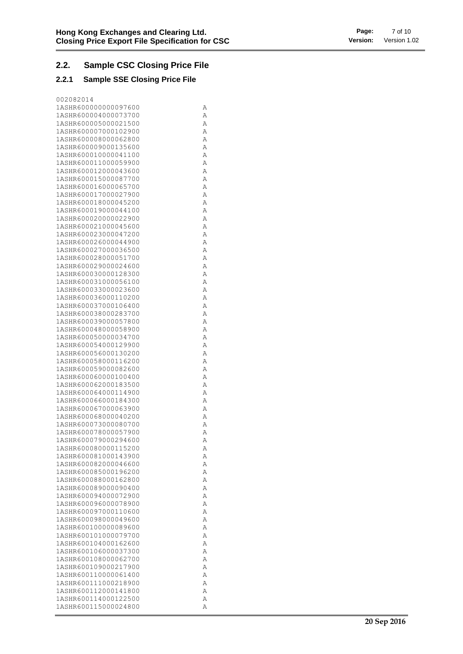### **2.2. Sample CSC Closing Price File**

#### **2.2.1 Sample SSE Closing Price File**

| 002082014                                    |        |
|----------------------------------------------|--------|
| 1ASHR600000000097600                         | Α      |
| 1ASHR600004000073700                         | Α      |
| 1ASHR600005000021500                         | Α      |
| 1ASHR600007000102900                         | Α      |
| 1ASHR600008000062800                         | Α      |
| 1ASHR600009000135600                         | Α      |
| 1ASHR600010000041100                         | Α      |
| 1ASHR600011000059900                         | Α      |
| 1ASHR600012000043600                         | Α      |
| 1ASHR600015000087700                         | Α      |
| 1ASHR600016000065700                         | Α      |
| 1ASHR600017000027900                         | Α      |
| 1ASHR600018000045200                         | Α      |
| 1ASHR600019000044100                         | Α      |
| 1ASHR600020000022900                         | Α      |
| 1ASHR600021000045600                         | Α      |
| 1ASHR600023000047200                         | Α      |
| 1ASHR600026000044900<br>1ASHR600027000036500 | Α<br>Α |
| 1ASHR600028000051700                         | Α      |
| 1ASHR600029000024600                         | Α      |
| 1ASHR600030000128300                         | Α      |
| 1ASHR600031000056100                         | Α      |
| 1ASHR600033000023600                         | Α      |
| 1ASHR600036000110200                         | Α      |
| 1ASHR600037000106400                         | Α      |
| 1ASHR600038000283700                         | Α      |
| 1ASHR600039000057800                         | Α      |
| 1ASHR600048000058900                         | Α      |
| 1ASHR600050000034700                         | Α      |
| 1ASHR600054000129900                         | Α      |
| 1ASHR600056000130200                         | Α      |
| 1ASHR600058000116200                         | Α      |
| 1ASHR600059000082600                         | Α      |
| 1ASHR600060000100400                         | Α      |
| 1ASHR600062000183500                         | Α      |
| 1ASHR600064000114900                         | Α      |
| 1ASHR600066000184300                         | Α      |
| 1ASHR600067000063900                         | Α      |
| 1ASHR600068000040200                         | Α      |
| 1ASHR600073000080700                         | Α      |
| 1ASHR600078000057900                         | Α      |
| 1ASHR600079000294600                         | Α      |
| 1ASHR600080000115200<br>1ASHR600081000143900 | Α<br>Α |
| 1ASHR600082000046600                         | Α      |
| 1ASHR600085000196200                         | Α      |
| 1ASHR600088000162800                         | Α      |
| 1ASHR600089000090400                         | Α      |
| 1ASHR600094000072900                         | Α      |
| 1ASHR600096000078900                         | Α      |
| 1ASHR600097000110600                         | Α      |
| 1ASHR600098000049600                         | Α      |
| 1ASHR600100000089600                         | Α      |
| 1ASHR600101000079700                         | Α      |
| 1ASHR600104000162600                         | Α      |
| 1ASHR600106000037300                         | Α      |
| 1ASHR600108000062700                         | Α      |
| 1ASHR600109000217900                         | Α      |
| 1ASHR600110000061400                         | A      |
| 1ASHR600111000218900                         | Α      |
| 1ASHR600112000141800                         | Α      |
| 1ASHR600114000122500                         | Α      |
| 1ASHR600115000024800                         | Α      |
|                                              |        |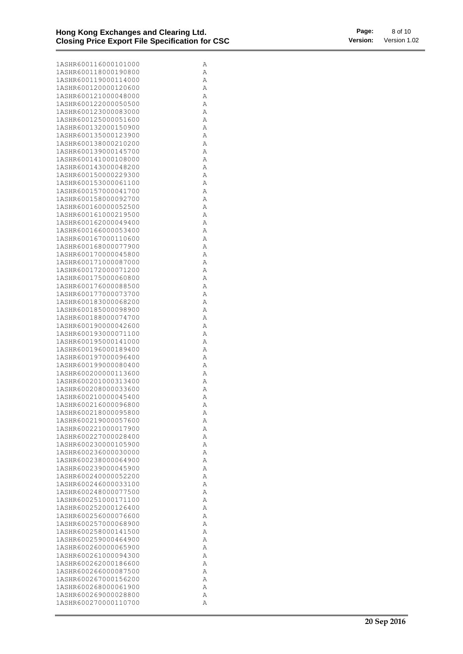| 1ASHR600116000101000 | Α |
|----------------------|---|
| 1ASHR600118000190800 | Α |
| 1ASHR600119000114000 | Α |
| 1ASHR600120000120600 | Α |
| 1ASHR600121000048000 | Α |
| 1ASHR600122000050500 |   |
|                      | Α |
| 1ASHR600123000083000 | Α |
| 1ASHR600125000051600 | Α |
| 1ASHR600132000150900 | Α |
| 1ASHR600135000123900 | Α |
| 1ASHR600138000210200 | Α |
| 1ASHR600139000145700 | Α |
| 1ASHR600141000108000 | Α |
| 1ASHR600143000048200 | Α |
| 1ASHR600150000229300 | Α |
| 1ASHR600153000061100 | Α |
| 1ASHR600157000041700 | Α |
| 1ASHR600158000092700 | Α |
| 1ASHR600160000052500 | Α |
| 1ASHR600161000219500 | Α |
| 1ASHR600162000049400 | Α |
| 1ASHR600166000053400 | Α |
| 1ASHR600167000110600 | Α |
| 1ASHR600168000077900 | Α |
| 1ASHR600170000045800 | Α |
| 1ASHR600171000087000 | Α |
| 1ASHR600172000071200 | Α |
| 1ASHR600175000060800 | Α |
| 1ASHR600176000088500 | Α |
| 1ASHR600177000073700 | Α |
| 1ASHR600183000068200 | Α |
| 1ASHR600185000098900 |   |
|                      | Α |
| 1ASHR600188000074700 | Α |
| 1ASHR600190000042600 | Α |
| 1ASHR600193000071100 | Α |
| 1ASHR600195000141000 | Α |
| 1ASHR600196000189400 | Α |
| 1ASHR600197000096400 | Α |
| 1ASHR600199000080400 | Α |
| 1ASHR600200000113600 | Α |
| 1ASHR600201000313400 | Α |
| 1ASHR600208000033600 | Α |
| 1ASHR600210000045400 | Α |
| 1ASHR600216000096800 | Α |
| 1ASHR600218000095800 | Α |
| 1ASHR600219000057600 | Α |
| 1ASHR600221000017900 | Α |
| 1ASHR600227000028400 | Α |
| 1ASHR600230000105900 | Α |
| 1ASHR600236000030000 | Α |
| 1ASHR600238000064900 | Α |
| 1ASHR600239000045900 | Α |
| 1ASHR600240000052200 | Α |
| 1ASHR600246000033100 | Α |
| 1ASHR600248000077500 | Α |
| 1ASHR600251000171100 | Α |
| 1ASHR600252000126400 | Α |
| 1ASHR600256000076600 | Α |
| 1ASHR600257000068900 | Α |
| 1ASHR600258000141500 | Α |
| 1ASHR600259000464900 | Α |
| 1ASHR600260000065900 | Α |
| 1ASHR600261000094300 | Α |
| 1ASHR600262000186600 | Α |
| 1ASHR600266000087500 | Α |
| 1ASHR600267000156200 | Α |
| 1ASHR600268000061900 |   |
|                      | Α |
| 1ASHR600269000028800 | Α |
| 1ASHR600270000110700 | Α |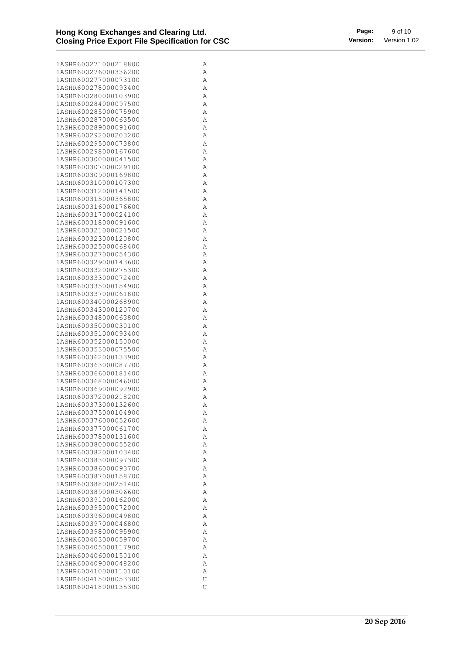| 1ASHR600271000218800 | Α |
|----------------------|---|
|                      |   |
| 1ASHR600276000336200 | Α |
| 1ASHR600277000073100 | Α |
|                      |   |
| 1ASHR600278000093400 | Α |
| 1ASHR600280000103900 | Α |
|                      |   |
| 1ASHR600284000097500 | Α |
| 1ASHR600285000075900 | Α |
|                      |   |
| 1ASHR600287000063500 | Α |
| 1ASHR600289000091600 | Α |
|                      |   |
| 1ASHR600292000203200 | Α |
| 1ASHR600295000073800 | Α |
|                      |   |
| 1ASHR600298000167600 | Α |
| 1ASHR600300000041500 | Α |
|                      |   |
| 1ASHR600307000029100 | Α |
|                      |   |
| 1ASHR600309000169800 | Α |
| 1ASHR600310000107300 | Α |
|                      |   |
| 1ASHR600312000141500 | Α |
| 1ASHR600315000365800 | Α |
|                      |   |
| 1ASHR600316000176600 | Α |
| 1ASHR600317000024100 | Α |
|                      |   |
| 1ASHR600318000091600 | Α |
| 1ASHR600321000021500 | Α |
|                      |   |
| 1ASHR600323000120800 | Α |
| 1ASHR600325000068400 | Α |
|                      |   |
| 1ASHR600327000054300 | Α |
| 1ASHR600329000143600 | Α |
|                      |   |
| 1ASHR600332000275300 | Α |
| 1ASHR600333000072400 | Α |
|                      |   |
| 1ASHR600335000154900 | Α |
| 1ASHR600337000061800 | Α |
|                      |   |
| 1ASHR600340000268900 | Α |
| 1ASHR600343000120700 | Α |
|                      |   |
| 1ASHR600348000063800 | Α |
| 1ASHR600350000030100 | Α |
|                      |   |
| 1ASHR600351000093400 | Α |
| 1ASHR600352000150000 | Α |
|                      |   |
| 1ASHR600353000075500 | Α |
| 1ASHR600362000133900 | Α |
|                      |   |
| 1ASHR600363000087700 | Α |
| 1ASHR600366000181400 | Α |
|                      |   |
| 1ASHR600368000046000 | Α |
| 1ASHR600369000092900 | Α |
|                      |   |
| 1ASHR600372000218200 | Α |
| 1ASHR600373000132600 | Α |
|                      |   |
| 1ASHR600375000104900 | Α |
| 1ASHR600376000052600 | Α |
|                      |   |
| 1ASHR600377000061700 | Α |
| 1ASHR600378000131600 | Α |
|                      |   |
| 1ASHR600380000055200 | Α |
| 1ASHR600382000103400 | Α |
|                      |   |
| 1ASHR600383000097300 | Α |
| 1ASHR600386000093700 | A |
|                      |   |
| 1ASHR600387000158700 | Α |
| 1ASHR600388000251400 | Α |
|                      |   |
| 1ASHR600389000306600 | Α |
| 1ASHR600391000162000 |   |
|                      | Α |
| 1ASHR600395000072000 | Α |
| 1ASHR600396000049800 |   |
|                      | Α |
| 1ASHR600397000046800 | Α |
|                      |   |
| 1ASHR600398000095900 | Α |
| 1ASHR600403000059700 | Α |
|                      |   |
| 1ASHR600405000117900 | Α |
| 1ASHR600406000150100 | Α |
|                      |   |
| 1ASHR600409000048200 | Α |
| 1ASHR600410000110100 | Α |
|                      |   |
| 1ASHR600415000053300 | U |
| 1ASHR600418000135300 | U |